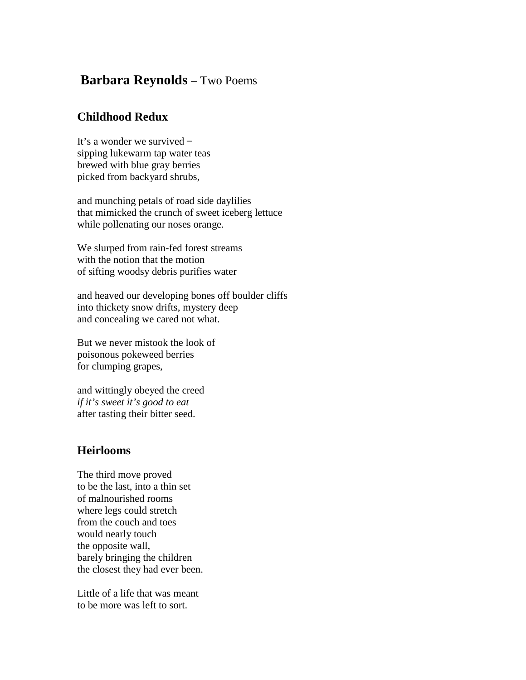## **Barbara Reynolds** – Two Poems

## **Childhood Redux**

It's a wonder we survived – sipping lukewarm tap water teas brewed with blue gray berries picked from backyard shrubs,

and munching petals of road side daylilies that mimicked the crunch of sweet iceberg lettuce while pollenating our noses orange.

We slurped from rain-fed forest streams with the notion that the motion of sifting woodsy debris purifies water

and heaved our developing bones off boulder cliffs into thickety snow drifts, mystery deep and concealing we cared not what.

But we never mistook the look of poisonous pokeweed berries for clumping grapes,

and wittingly obeyed the creed *if it's sweet it's good to eat* after tasting their bitter seed.

## **Heirlooms**

The third move proved to be the last, into a thin set of malnourished rooms where legs could stretch from the couch and toes would nearly touch the opposite wall, barely bringing the children the closest they had ever been.

Little of a life that was meant to be more was left to sort.